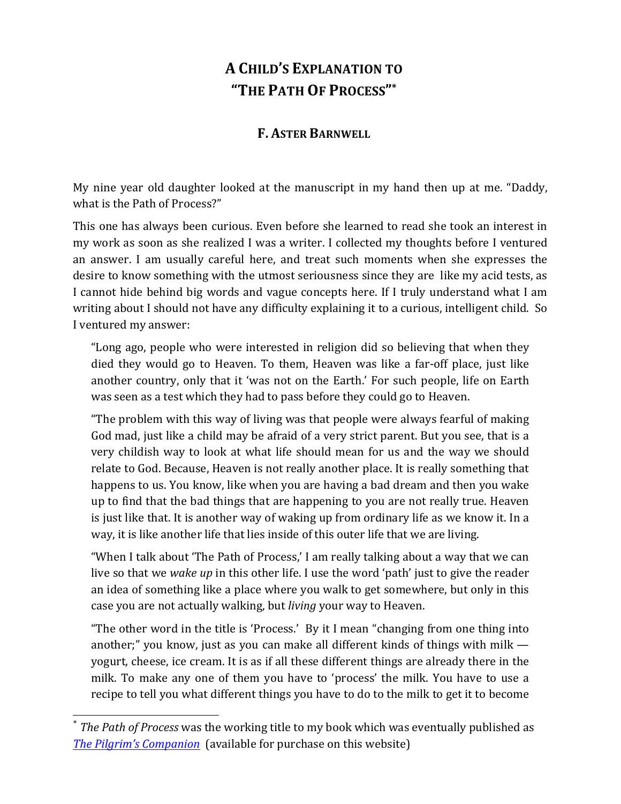## **A CHILD'S EXPLANATION TO "THE PATH OF PROCESS"\***

## **F. ASTER BARNWELL**

My nine year old daughter looked at the manuscript in my hand then up at me. "Daddy, what is the Path of Process?"

This one has always been curious. Even before she learned to read she took an interest in my work as soon as she realized I was a writer. I collected my thoughts before I ventured an answer. I am usually careful here, and treat such moments when she expresses the desire to know something with the utmost seriousness since they are like my acid tests, as I cannot hide behind big words and vague concepts here. If I truly understand what I am writing about I should not have any difficulty explaining it to a curious, intelligent child. So I ventured my answer:

"Long ago, people who were interested in religion did so believing that when they died they would go to Heaven. To them, Heaven was like a far-off place, just like another country, only that it 'was not on the Earth.' For such people, life on Earth was seen as a test which they had to pass before they could go to Heaven.

"The problem with this way of living was that people were always fearful of making God mad, just like a child may be afraid of a very strict parent. But you see, that is a very childish way to look at what life should mean for us and the way we should relate to God. Because, Heaven is not really another place. It is really something that happens to us. You know, like when you are having a bad dream and then you wake up to find that the bad things that are happening to you are not really true. Heaven is just like that. It is another way of waking up from ordinary life as we know it. In a way, it is like another life that lies inside of this outer life that we are living.

"When I talk about 'The Path of Process,' I am really talking about a way that we can live so that we *wake up* in this other life. I use the word 'path' just to give the reader an idea of something like a place where you walk to get somewhere, but only in this case you are not actually walking, but *living* your way to Heaven.

"The other word in the title is 'Process.' By it I mean "changing from one thing into another;" you know, just as you can make all different kinds of things with milk yogurt, cheese, ice cream. It is as if all these different things are already there in the milk. To make any one of them you have to 'process' the milk. You have to use a recipe to tell you what different things you have to do to the milk to get it to become

*The Path of Process* was the working title to my book which was eventually published as *The Pilgrim's Companion* (available for purchase on this website)